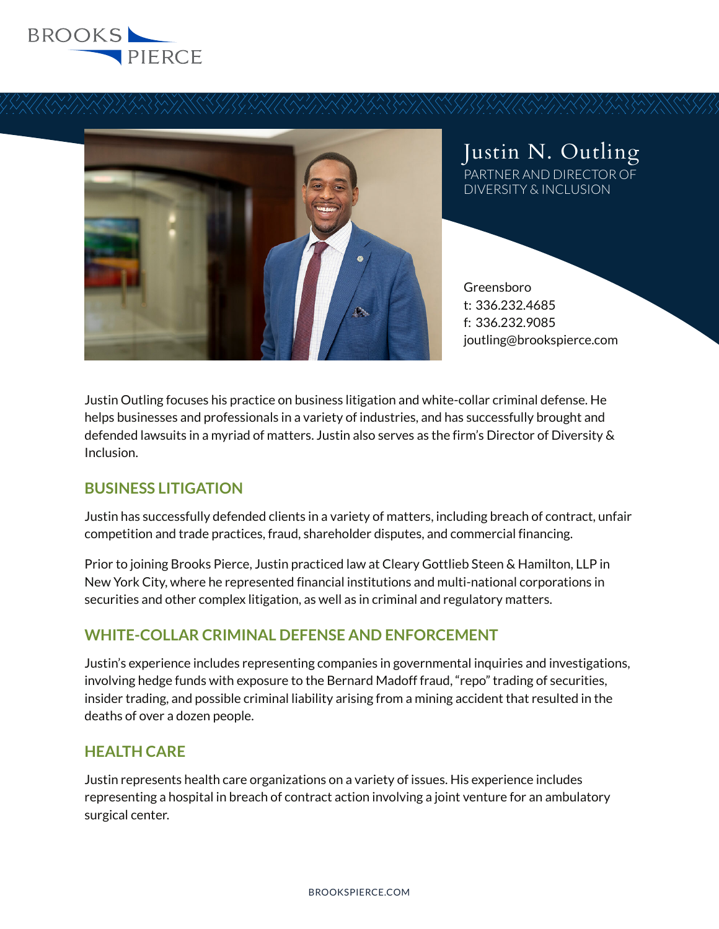



Justin N. Outling PARTNER AND DIRECTOR OF DIVERSITY & INCLUSION

Greensboro t: 336.232.4685 f: 336.232.9085 joutling@brookspierce.com

Justin Outling focuses his practice on business litigation and white-collar criminal defense. He helps businesses and professionals in a variety of industries, and has successfully brought and defended lawsuits in a myriad of matters. Justin also serves as the firm's Director of Diversity & Inclusion.

# **BUSINESS LITIGATION**

Justin has successfully defended clients in a variety of matters, including breach of contract, unfair competition and trade practices, fraud, shareholder disputes, and commercial financing.

Prior to joining Brooks Pierce, Justin practiced law at Cleary Gottlieb Steen & Hamilton, LLP in New York City, where he represented financial institutions and multi-national corporations in securities and other complex litigation, as well as in criminal and regulatory matters.

# **WHITE-COLLAR CRIMINAL DEFENSE AND ENFORCEMENT**

Justin's experience includes representing companies in governmental inquiries and investigations, involving hedge funds with exposure to the Bernard Madoff fraud, "repo" trading of securities, insider trading, and possible criminal liability arising from a mining accident that resulted in the deaths of over a dozen people.

## **HEALTH CARE**

Justin represents health care organizations on a variety of issues. His experience includes representing a hospital in breach of contract action involving a joint venture for an ambulatory surgical center.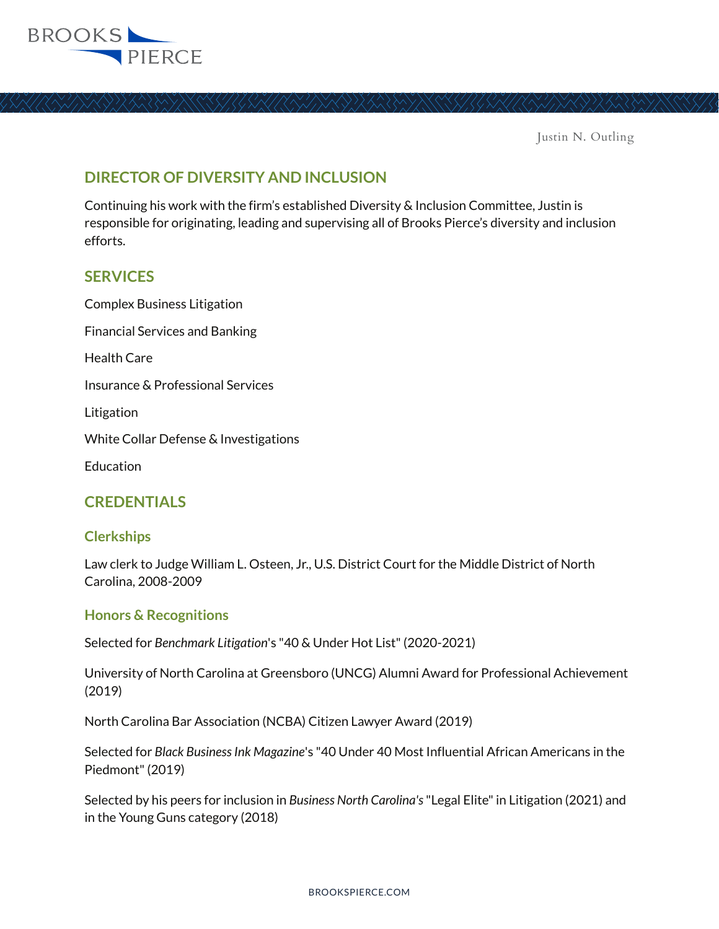

# **DIRECTOR OF DIVERSITY AND INCLUSION**

Continuing his work with the firm's established Diversity & Inclusion Committee, Justin is responsible for originating, leading and supervising all of Brooks Pierce's diversity and inclusion efforts.

## **SERVICES**

Complex Business Litigation Financial Services and Banking Health Care Insurance & Professional Services Litigation White Collar Defense & Investigations Education

## **CREDENTIALS**

## **Clerkships**

Law clerk to Judge William L. Osteen, Jr., U.S. District Court for the Middle District of North Carolina, 2008-2009

## **Honors & Recognitions**

Selected for *Benchmark Litigation*'s "40 & Under Hot List" (2020-2021)

University of North Carolina at Greensboro (UNCG) Alumni Award for Professional Achievement (2019)

North Carolina Bar Association (NCBA) Citizen Lawyer Award (2019)

Selected for *Black Business Ink Magazine*'s "40 Under 40 Most Influential African Americans in the Piedmont" (2019)

Selected by his peers for inclusion in *Business North Carolina's* "Legal Elite" in Litigation (2021) and in the Young Guns category (2018)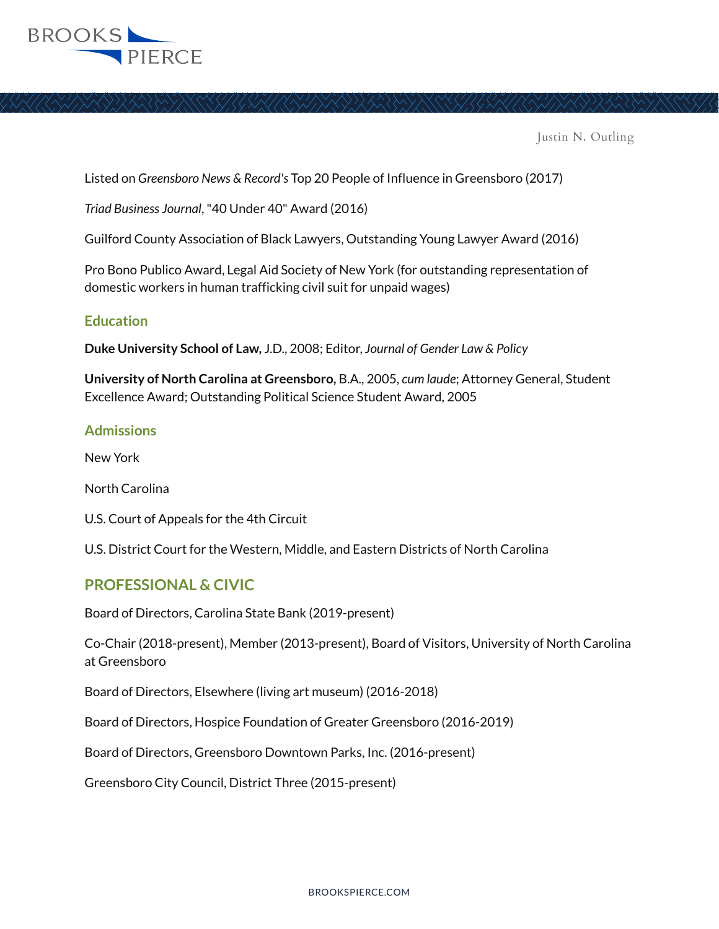

Listed on *Greensboro News & Record's* Top 20 People of Influence in Greensboro (2017)

*Triad Business Journal*, "40 Under 40" Award (2016)

Guilford County Association of Black Lawyers, Outstanding Young Lawyer Award (2016)

Pro Bono Publico Award, Legal Aid Society of New York (for outstanding representation of domestic workers in human trafficking civil suit for unpaid wages)

#### **Education**

**Duke University School of Law,** J.D., 2008; Editor, *Journal of Gender Law & Policy*

**University of North Carolina at Greensboro,** B.A., 2005, *cum laude*; Attorney General, Student Excellence Award; Outstanding Political Science Student Award, 2005

#### **Admissions**

New York

North Carolina

U.S. Court of Appeals for the 4th Circuit

U.S. District Court for the Western, Middle, and Eastern Districts of North Carolina

## **PROFESSIONAL & CIVIC**

Board of Directors, Carolina State Bank (2019-present)

Co-Chair (2018-present), Member (2013-present), Board of Visitors, University of North Carolina at Greensboro

Board of Directors, Elsewhere (living art museum) (2016-2018)

Board of Directors, Hospice Foundation of Greater Greensboro (2016-2019)

Board of Directors, Greensboro Downtown Parks, Inc. (2016-present)

Greensboro City Council, District Three (2015-present)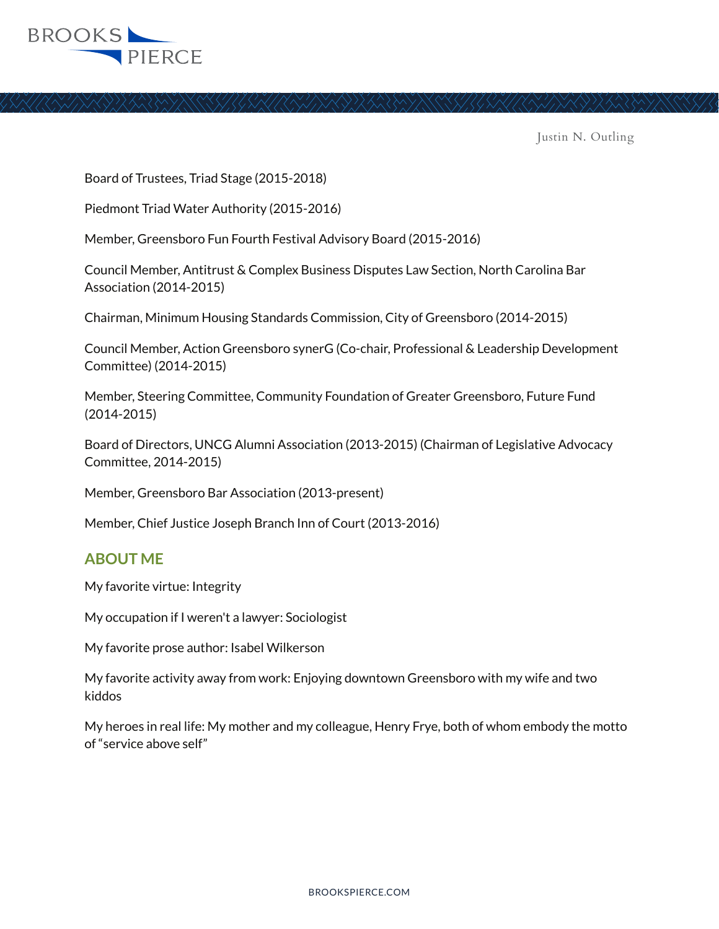

Board of Trustees, Triad Stage (2015-2018)

Piedmont Triad Water Authority (2015-2016)

Member, Greensboro Fun Fourth Festival Advisory Board (2015-2016)

Council Member, Antitrust & Complex Business Disputes Law Section, North Carolina Bar Association (2014-2015)

Chairman, Minimum Housing Standards Commission, City of Greensboro (2014-2015)

Council Member, Action Greensboro synerG (Co-chair, Professional & Leadership Development Committee) (2014-2015)

Member, Steering Committee, Community Foundation of Greater Greensboro, Future Fund (2014-2015)

Board of Directors, UNCG Alumni Association (2013-2015) (Chairman of Legislative Advocacy Committee, 2014-2015)

Member, Greensboro Bar Association (2013-present)

Member, Chief Justice Joseph Branch Inn of Court (2013-2016)

## **ABOUT ME**

My favorite virtue: Integrity

My occupation if I weren't a lawyer: Sociologist

My favorite prose author: Isabel Wilkerson

My favorite activity away from work: Enjoying downtown Greensboro with my wife and two kiddos

My heroes in real life: My mother and my colleague, Henry Frye, both of whom embody the motto of "service above self"